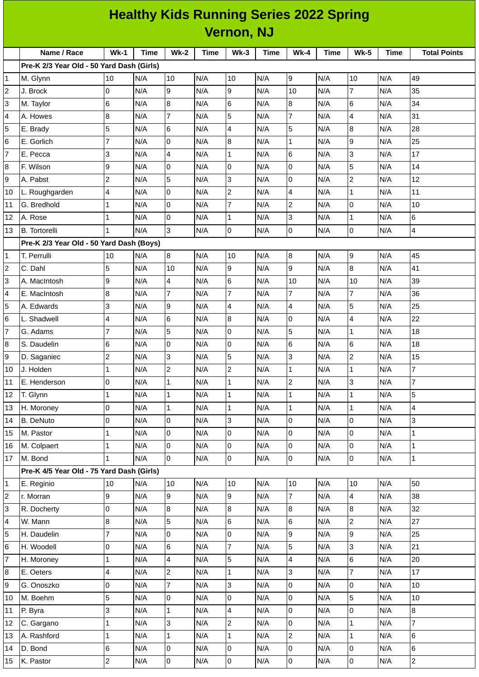|                | <b>Healthy Kids Running Series 2022 Spring</b> |                         |      |                     |      |                         |             |                     |      |                |             |                         |
|----------------|------------------------------------------------|-------------------------|------|---------------------|------|-------------------------|-------------|---------------------|------|----------------|-------------|-------------------------|
|                | <b>Vernon, NJ</b>                              |                         |      |                     |      |                         |             |                     |      |                |             |                         |
|                | Name / Race                                    | <b>Wk-1</b>             | Time | <b>Wk-2</b>         | Time | $Wk-3$                  | <b>Time</b> | <b>Wk-4</b>         | Time | <b>Wk-5</b>    | <b>Time</b> | <b>Total Points</b>     |
|                | Pre-K 2/3 Year Old - 50 Yard Dash (Girls)      |                         |      |                     |      |                         |             |                     |      |                |             |                         |
| 1              | M. Glynn                                       | 10                      | N/A  | 10                  | N/A  | 10                      | N/A         | 9                   | N/A  | 10             | N/A         | 49                      |
| 2              | J. Brock                                       | $\overline{0}$          | N/A  | 9                   | N/A  | 9                       | N/A         | 10                  | N/A  | 7              | N/A         | 35                      |
| 3              | M. Taylor                                      | $\,$ 6                  | N/A  | 8                   | N/A  | $6\phantom{.}6$         | N/A         | 8                   | N/A  | 6              | N/A         | 34                      |
| 4              | A. Howes                                       | 8                       | N/A  | $\overline{7}$      | N/A  | 5                       | N/A         | 7                   | N/A  | 4              | N/A         | 31                      |
| 5              | E. Brady                                       | 5                       | N/A  | 6                   | N/A  | $\overline{\mathbf{4}}$ | N/A         | 5                   | N/A  | 8              | N/A         | 28                      |
| 6              | E. Gorlich                                     | $\overline{7}$          | N/A  | 0                   | N/A  | $\bf{8}$                | N/A         | 1                   | N/A  | 9              | N/A         | 25                      |
| 7              | E. Pecca                                       | 3                       | N/A  | 4                   | N/A  | $\mathbf 1$             | N/A         | 6                   | N/A  | 3              | N/A         | 17                      |
| 8              | F. Wilson                                      | 9                       | N/A  | 0                   | N/A  | l0                      | N/A         | 0                   | N/A  | 5              | N/A         | 14                      |
| 9              | A. Pabst                                       | $\overline{c}$          | N/A  | 5                   | N/A  | 3                       | N/A         | 0                   | N/A  | $\overline{c}$ | N/A         | 12                      |
| 10             | L. Roughgarden                                 | 4                       | N/A  | 0                   | N/A  | $\mathbf 2$             | N/A         | 4                   | N/A  | $\mathbf 1$    | N/A         | 11                      |
| 11             | G. Bredhold                                    | $\mathbf{1}$            | N/A  | 0                   | N/A  | $\overline{7}$          | N/A         | $\overline{c}$      | N/A  | $\Omega$       | N/A         | 10                      |
| 12             | A. Rose                                        | $\mathbf 1$             | N/A  | 0                   | N/A  | $\mathbf{1}$            | N/A         | 3                   | N/A  | $\mathbf 1$    | N/A         | 6                       |
| 13             | <b>B.</b> Tortorelli                           | $\mathbf{1}$            | N/A  | 3                   | N/A  | l0                      | N/A         | 0                   | N/A  | 0              | N/A         | $\overline{\mathbf{4}}$ |
|                | Pre-K 2/3 Year Old - 50 Yard Dash (Boys)       |                         |      |                     |      |                         |             |                     |      |                |             |                         |
| 1              | T. Perrulli                                    | 10                      | N/A  | $\, 8$              | N/A  | 10                      | N/A         | $\, 8$              | N/A  | 9              | N/A         | 45                      |
| 2              | C. Dahl                                        | 5                       | N/A  | 10                  | N/A  | g                       | N/A         | 9                   | N/A  | 8              | N/A         | 41                      |
| 3              | A. MacIntosh                                   | 9                       | N/A  | 4                   | N/A  | 6                       | N/A         | 10                  | N/A  | 10             | N/A         | 39                      |
| 4              | E. MacIntosh                                   | $\bf 8$                 | N/A  | $\overline{7}$      | N/A  | 7                       | N/A         | 7                   | N/A  | $\overline{7}$ | N/A         | 36                      |
| 5              | A. Edwards                                     | 3                       | N/A  | 9                   | N/A  | $\overline{a}$          | N/A         | 4                   | N/A  | 5              | N/A         | 25                      |
| 6              | L. Shadwell                                    | 4                       | N/A  | 6                   | N/A  | 8                       | N/A         | 0                   | N/A  | 4              | N/A         | 22                      |
| 7              | G. Adams                                       | $\overline{7}$          | N/A  | 5                   | N/A  | 0                       | N/A         | 5                   | N/A  | $\mathbf 1$    | N/A         | 18                      |
| 8              | S. Daudelin                                    | 6                       | N/A  | 0                   | N/A  | 0                       | N/A         | 6                   | N/A  | 6              | N/A         | 18                      |
| 9              | D. Saganiec                                    | $\mathbf 2$             | N/A  | 3                   | N/A  | 5                       | N/A         | 3                   | N/A  | $\overline{c}$ | N/A         | 15                      |
| 10             | J. Holden                                      | $\mathbf 1$             | N/A  | $\overline{c}$      | N/A  | $\overline{2}$          | N/A         | $\mathbf 1$         | N/A  | $\mathbf 1$    | N/A         | $\overline{7}$          |
| 11             | E. Henderson                                   | l0                      | N/A  | $\mathbf{1}$        | N/A  | $\mathbf{1}$            | N/A         | $\overline{a}$      | N/A  | 3              | N/A         | $\overline{7}$          |
| 12             | T. Glynn                                       | $\mathbf 1$             | N/A  | $\mathbf 1$         | N/A  | $\mathbf 1$             | N/A         | 1                   | N/A  | $\mathbf 1$    | N/A         | $\overline{5}$          |
| 13             | H. Moroney                                     | $\mathsf 0$             | N/A  | $\mathbf 1$         | N/A  | $\mathbf 1$             | N/A         | $\mathbf{1}$        | N/A  | $\mathbf{1}$   | N/A         | $\overline{4}$          |
| 14             | <b>B.</b> DeNuto                               | $\mathsf 0$             | N/A  | 0                   | N/A  | 3                       | N/A         | 0                   | N/A  | 0              | N/A         | 3                       |
| 15             | M. Pastor                                      | $\mathbf 1$             | N/A  | 0                   | N/A  | l0                      | N/A         | 0                   | N/A  | 0              | N/A         | $\mathbf{1}$            |
| 16             | M. Colpaert                                    | $\mathbf 1$             | N/A  | 0                   | N/A  | l0                      | N/A         | 0                   | N/A  | 0              | N/A         | $\mathbf{1}$            |
| 17             | M. Bond                                        | $\mathbf{1}$            | N/A  | 0                   | N/A  | $\overline{0}$          | N/A         | 0                   | N/A  | $\mathsf 0$    | N/A         | $\overline{1}$          |
|                | Pre-K 4/5 Year Old - 75 Yard Dash (Girls)      |                         |      |                     |      |                         |             |                     |      |                |             |                         |
| 1              | E. Reginio                                     | 10                      | N/A  | 10                  | N/A  | 10                      | N/A         | 10                  | N/A  | 10             | N/A         | 50                      |
| $\overline{c}$ | r. Morran                                      | 9                       | N/A  | 9                   | N/A  | 9                       | N/A         | $\overline{7}$      | N/A  | 4              | N/A         | 38                      |
| 3              | R. Docherty                                    | $\mathsf 0$             | N/A  | 8                   | N/A  | $\overline{8}$          | N/A         | 8                   | N/A  | 8              | N/A         | 32                      |
| 4              | W. Mann                                        | $\bf{8}$                | N/A  | 5                   | N/A  | $6\phantom{a}$          | N/A         | 6                   | N/A  | $\overline{c}$ | N/A         | 27                      |
| 5              | H. Daudelin                                    | $\overline{7}$          | N/A  | 0                   | N/A  | O                       | N/A         | 9                   | N/A  | 9              | N/A         | 25                      |
| 6              | H. Woodell                                     | 0                       | N/A  | 6                   | N/A  | $\overline{7}$          | N/A         | 5                   | N/A  | 3              | N/A         | 21                      |
| 7              | H. Moroney                                     | $\mathbf 1$             | N/A  | 4                   | N/A  | 5                       | N/A         | 4                   | N/A  | 6              | N/A         | 20                      |
| 8              | E. Oeters                                      | $\overline{\mathbf{4}}$ | N/A  | $\overline{c}$      | N/A  | $\mathbf 1$             | N/A         | 3                   | N/A  | $\overline{7}$ | N/A         | 17                      |
| 9              | G. Onoszko                                     | 0                       | N/A  | $\overline{7}$      | N/A  | 3                       | N/A         | 0                   | N/A  | 0              | N/A         | 10                      |
| 10             | M. Boehm                                       | 5                       | N/A  | 0                   | N/A  | $\pmb{0}$               | N/A         | 0                   | N/A  | 5              | N/A         | 10                      |
| 11             | P. Byra                                        | 3                       | N/A  | $\mathbf{1}$        | N/A  | $\overline{\mathbf{4}}$ | N/A         | 0                   | N/A  | 0              | N/A         | $\overline{8}$          |
| 12             | C. Gargano                                     | $\mathbf 1$             | N/A  | 3                   | N/A  | $\overline{c}$          | N/A         | 0                   | N/A  | $\mathbf{1}$   | N/A         | $\overline{7}$          |
| 13             | A. Rashford                                    | $\mathbf 1$             | N/A  | $\mathbf 1$         | N/A  | $\mathbf{1}$            | N/A         | $\overline{c}$      | N/A  | 1              | N/A         | 6                       |
| 14             | D. Bond                                        | $\,$ 6                  | N/A  | 0                   | N/A  | 0                       | N/A         | 0                   | N/A  | 0              | N/A         | $6\phantom{a}$          |
| 15             | K. Pastor                                      | $\overline{c}$          | N/A  | $\mathsf{O}\xspace$ | N/A  | $\overline{\mathbf{0}}$ | N/A         | $\mathsf{O}\xspace$ | N/A  | $\mathsf 0$    | N/A         | $\overline{2}$          |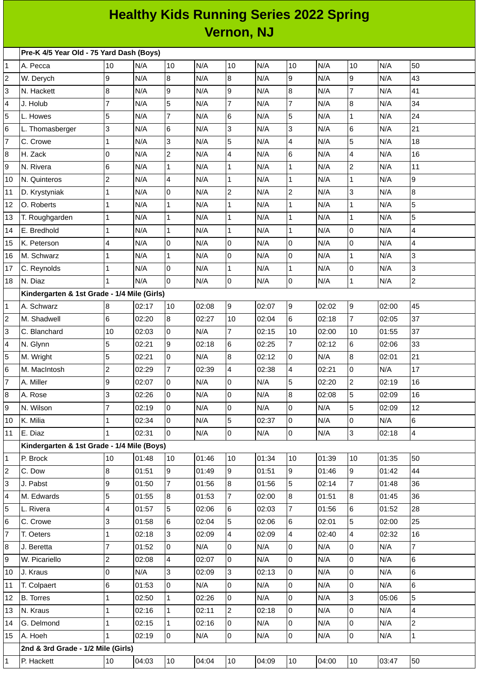## **Healthy Kids Running Series 2022 Spring Vernon, NJ**

|                         | Pre-K 4/5 Year Old - 75 Yard Dash (Boys)    |                          |       |                         |       |                          |       |                |       |                |       |                          |
|-------------------------|---------------------------------------------|--------------------------|-------|-------------------------|-------|--------------------------|-------|----------------|-------|----------------|-------|--------------------------|
| 1                       | A. Pecca                                    | 10                       | N/A   | 10                      | N/A   | 10                       | N/A   | 10             | N/A   | 10             | N/A   | 50                       |
| 2                       | W. Derych                                   | 9                        | N/A   | $\overline{8}$          | N/A   | 8                        | N/A   | 9              | N/A   | 9              | N/A   | 43                       |
| 3                       | N. Hackett                                  | 8                        | N/A   | 9                       | N/A   | 9                        | N/A   | 8              | N/A   | $\overline{7}$ | N/A   | 41                       |
| 4                       | J. Holub                                    | $\overline{7}$           | N/A   | 5                       | N/A   | 7                        | N/A   | $\overline{7}$ | N/A   | 8              | N/A   | 34                       |
| 5                       | L. Howes                                    | 5                        | N/A   | $\overline{7}$          | N/A   | 6                        | N/A   | 5              | N/A   | $\mathbf{1}$   | N/A   | 24                       |
| 6                       | L. Thomasberger                             | 3                        | N/A   | 6                       | N/A   | 3                        | N/A   | 3              | N/A   | $\,6$          | N/A   | 21                       |
| 7                       | C. Crowe                                    | $\mathbf{1}$             | N/A   | 3                       | N/A   | 5                        | N/A   | 4              | N/A   | 5              | N/A   | 18                       |
| 8                       | H. Zack                                     | 0                        | N/A   | $\mathbf 2$             | N/A   | $\overline{\mathcal{L}}$ | N/A   | $6\phantom{a}$ | N/A   | 4              | N/A   | 16                       |
| 9                       | N. Rivera                                   | 6                        | N/A   | $\mathbf{1}$            | N/A   | 1                        | N/A   | $\mathbf 1$    | N/A   | $\overline{c}$ | N/A   | $11\,$                   |
| 10                      | N. Quinteros                                | $\overline{c}$           | N/A   | $\overline{\mathbf{4}}$ | N/A   | $\mathbf 1$              | N/A   | $\mathbf{1}$   | N/A   | $\mathbf{1}$   | N/A   | 9                        |
| 11                      | D. Krystyniak                               | $\mathbf{1}$             | N/A   | l0                      | N/A   | $\overline{c}$           | N/A   | $\overline{c}$ | N/A   | 3              | N/A   | 8                        |
| 12                      | O. Roberts                                  | $\mathbf{1}$             | N/A   | 1                       | N/A   | 1                        | N/A   | $\mathbf 1$    | N/A   | 1              | N/A   | 5                        |
| 13                      | T. Roughgarden                              | $\mathbf{1}$             | N/A   | $\mathbf 1$             | N/A   | $\mathbf 1$              | N/A   | $\mathbf 1$    | N/A   | $\mathbf{1}$   | N/A   | 5                        |
| 14                      | E. Bredhold                                 | $\mathbf{1}$             | N/A   | $\mathbf 1$             | N/A   | $\mathbf 1$              | N/A   | $\mathbf{1}$   | N/A   | 0              | N/A   | $\overline{\mathcal{L}}$ |
| 15                      | K. Peterson                                 | $\overline{\mathbf{4}}$  | N/A   | l0                      | N/A   | 0                        | N/A   | 0              | N/A   | 0              | N/A   | $\overline{\mathcal{L}}$ |
| 16                      | M. Schwarz                                  | $\mathbf{1}$             | N/A   | $\mathbf 1$             | N/A   | 0                        | N/A   | 0              | N/A   | $\mathbf{1}$   | N/A   | 3                        |
| 17                      | C. Reynolds                                 | $\mathbf{1}$             | N/A   | l0                      | N/A   | 1                        | N/A   | $\mathbf 1$    | N/A   | 0              | N/A   | 3                        |
| 18                      | N. Diaz                                     | 1                        | N/A   | l0                      | N/A   | 0                        | N/A   | 0              | N/A   | $\mathbf{1}$   | N/A   | $\overline{c}$           |
|                         | Kindergarten & 1st Grade - 1/4 Mile (Girls) |                          |       |                         |       |                          |       |                |       |                |       |                          |
| 1                       | A. Schwarz                                  | 8                        | 02:17 | 10                      | 02:08 | 9                        | 02:07 | $\overline{9}$ | 02:02 | 9              | 02:00 | 45                       |
| $\overline{\mathbf{c}}$ | M. Shadwell                                 | 6                        | 02:20 | $\overline{8}$          | 02:27 | 10                       | 02:04 | 6              | 02:18 | $\overline{7}$ | 02:05 | 37                       |
| 3                       | C. Blanchard                                | 10                       | 02:03 | l0                      | N/A   | 7                        | 02:15 | 10             | 02:00 | 10             | 01:55 | 37                       |
| 4                       | N. Glynn                                    | 5                        | 02:21 | 9                       | 02:18 | 6                        | 02:25 | $\overline{7}$ | 02:12 | 6              | 02:06 | 33                       |
| 5                       | M. Wright                                   | 5                        | 02:21 | $\overline{0}$          | N/A   | 8                        | 02:12 | 0              | N/A   | 8              | 02:01 | 21                       |
| 6                       | M. MacIntosh                                | $\overline{c}$           | 02:29 | $\overline{7}$          | 02:39 | 4                        | 02:38 | 4              | 02:21 | $\overline{0}$ | N/A   | 17                       |
| 7                       | A. Miller                                   | 9                        | 02:07 | l0                      | N/A   | 0                        | N/A   | 5              | 02:20 | $\overline{2}$ | 02:19 | 16                       |
| 8                       | A. Rose                                     | 3                        | 02:26 | l0                      | N/A   | 0                        | N/A   | 8              | 02:08 | 5              | 02:09 | 16                       |
| 9                       | N. Wilson                                   | $\overline{7}$           | 02:19 | 0                       | N/A   | 0                        | N/A   | O              | N/A   | 5              | 02:09 | 12                       |
| 10                      | K. Milia                                    | $\mathbf{1}$             | 02:34 | l0                      | N/A   | 5                        | 02:37 | 0              | N/A   | $\overline{0}$ | N/A   | $6\overline{6}$          |
| 11                      | E. Diaz                                     | $\mathbf{1}$             | 02:31 | 0                       | N/A   | $\mathsf 0$              | N/A   | $\overline{0}$ | N/A   | 3              | 02:18 | $\overline{4}$           |
|                         | Kindergarten & 1st Grade - 1/4 Mile (Boys)  |                          |       |                         |       |                          |       |                |       |                |       |                          |
| 1                       | P. Brock                                    | 10                       | 01:48 | 10                      | 01:46 | 10                       | 01:34 | 10             | 01:39 | 10             | 01:35 | 50                       |
| 2                       | C. Dow                                      | 8                        | 01:51 | 9                       | 01:49 | 9                        | 01:51 | $\overline{9}$ | 01:46 | 9              | 01:42 | 44                       |
| 3                       | J. Pabst                                    | 9                        | 01:50 | $\overline{7}$          | 01:56 | 8                        | 01:56 | 5              | 02:14 | $\overline{7}$ | 01:48 | 36                       |
| 4                       | M. Edwards                                  | 5                        | 01:55 | 8                       | 01:53 | $\overline{7}$           | 02:00 | 8              | 01:51 | $\bf{8}$       | 01:45 | 36                       |
| 5                       | L. Rivera                                   | $\overline{\mathcal{A}}$ | 01:57 | 5                       | 02:06 | 6                        | 02:03 | $\overline{7}$ | 01:56 | 6              | 01:52 | 28                       |
| 6                       | C. Crowe                                    | 3                        | 01:58 | 6                       | 02:04 | 5                        | 02:06 | 6              | 02:01 | $\overline{5}$ | 02:00 | 25                       |
| 7                       | T. Oeters                                   | $\mathbf 1$              | 02:18 | $\overline{3}$          | 02:09 | 4                        | 02:09 | 4              | 02:40 | 4              | 02:32 | 16                       |
| 8                       | J. Beretta                                  | $\overline{7}$           | 01:52 | $\overline{0}$          | N/A   | 0                        | N/A   | 0              | N/A   | 0              | N/A   | $\overline{7}$           |
| 9                       | W. Picariello                               | $\overline{c}$           | 02:08 | $\overline{\mathbf{4}}$ | 02:07 | $\mathsf{O}$             | N/A   | 0              | N/A   | $\overline{0}$ | N/A   | $6\phantom{.}6$          |
| 10                      | J. Kraus                                    | 0                        | N/A   | $\overline{3}$          | 02:09 | 3                        | 02:13 | 0              | N/A   | $\overline{0}$ | N/A   | $6\phantom{a}$           |
| 11                      | T. Colpaert                                 | 6                        | 01:53 | l0                      | N/A   | 0                        | N/A   | 0              | N/A   | 0              | N/A   | $6\phantom{.}6$          |
| 12                      | <b>B.</b> Torres                            | $\mathbf{1}$             | 02:50 | $\mathbf{1}$            | 02:26 | $\overline{0}$           | N/A   | 0              | N/A   | $\overline{3}$ | 05:06 | 5                        |
| 13                      | N. Kraus                                    | $\mathbf 1$              | 02:16 | $\mathbf{1}$            | 02:11 | $\overline{c}$           | 02:18 | 0              | N/A   | $\overline{0}$ | N/A   | $\overline{4}$           |
| 14                      | G. Delmond                                  | $\mathbf 1$              | 02:15 | $\mathbf{1}$            | 02:16 | 0                        | N/A   | 0              | N/A   | $\overline{0}$ | N/A   | $\overline{2}$           |
| 15                      | A. Hoeh                                     | $\mathbf{1}$             | 02:19 | 0                       | N/A   | 0                        | N/A   | $\overline{0}$ | N/A   | $\mathsf{O}$   | N/A   | $\mathbf 1$              |
|                         | 2nd & 3rd Grade - 1/2 Mile (Girls)          |                          |       |                         |       |                          |       |                |       |                |       |                          |
| 1                       | P. Hackett                                  | 10                       | 04:03 | 10                      | 04:04 | 10                       | 04:09 | 10             | 04:00 | 10             | 03:47 | 50                       |
|                         |                                             |                          |       |                         |       |                          |       |                |       |                |       |                          |